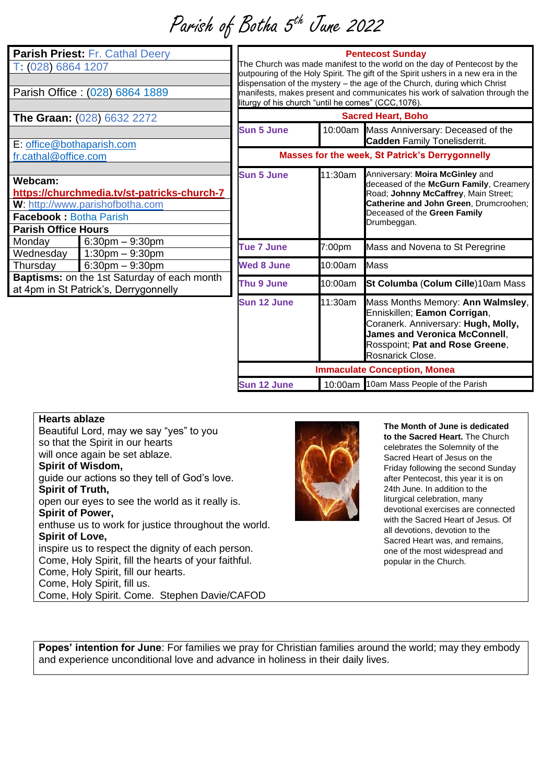Parish of Botha 5<sup>th</sup> June 2022

| Parish Priest: Fr. Cathal Deery<br>T: (028) 6864 1207<br>Parish Office: (028) 6864 1889                                                                  |                                              | <b>Pentecost Sunday</b><br>The Church was made manifest to the world on the day of Pentecost by the<br>outpouring of the Holy Spirit. The gift of the Spirit ushers in a new era in the<br>dispensation of the mystery - the age of the Church, during which Christ<br>manifests, makes present and communicates his work of salvation through the<br>liturgy of his church "until he comes" (CCC, 1076). |         |                                                                                                                                                                                                             |
|----------------------------------------------------------------------------------------------------------------------------------------------------------|----------------------------------------------|-----------------------------------------------------------------------------------------------------------------------------------------------------------------------------------------------------------------------------------------------------------------------------------------------------------------------------------------------------------------------------------------------------------|---------|-------------------------------------------------------------------------------------------------------------------------------------------------------------------------------------------------------------|
| The Graan: (028) 6632 2272                                                                                                                               |                                              | <b>Sacred Heart, Boho</b>                                                                                                                                                                                                                                                                                                                                                                                 |         |                                                                                                                                                                                                             |
|                                                                                                                                                          |                                              | <b>Sun 5 June</b>                                                                                                                                                                                                                                                                                                                                                                                         | 10:00am | Mass Anniversary: Deceased of the<br><b>Cadden Family Tonelisderrit.</b>                                                                                                                                    |
| E: office@bothaparish.com<br>fr.cathal@office.com                                                                                                        |                                              | Masses for the week, St Patrick's Derrygonnelly                                                                                                                                                                                                                                                                                                                                                           |         |                                                                                                                                                                                                             |
| Webcam:<br>https://churchmedia.tv/st-patricks-church-7<br>W: http://www.parishofbotha.com<br><b>Facebook: Botha Parish</b><br><b>Parish Office Hours</b> |                                              | <b>Sun 5 June</b>                                                                                                                                                                                                                                                                                                                                                                                         | 11:30am | Anniversary: Moira McGinley and<br>deceased of the McGurn Family, Creamery<br>Road; Johnny McCaffrey, Main Street;<br>Catherine and John Green, Drumcroohen;<br>Deceased of the Green Family<br>Drumbeggan. |
| Monday<br>Wednesday                                                                                                                                      | $6:30$ pm $-9:30$ pm<br>$1:30$ pm $-9:30$ pm | <b>Tue 7 June</b>                                                                                                                                                                                                                                                                                                                                                                                         | 7:00pm  | Mass and Novena to St Peregrine                                                                                                                                                                             |
| Thursday                                                                                                                                                 | $6:30$ pm $-9:30$ pm                         | <b>Wed 8 June</b>                                                                                                                                                                                                                                                                                                                                                                                         | 10:00am | <b>Mass</b>                                                                                                                                                                                                 |
| <b>Baptisms:</b> on the 1st Saturday of each month<br>at 4pm in St Patrick's, Derrygonnelly                                                              |                                              | Thu 9 June                                                                                                                                                                                                                                                                                                                                                                                                | 10:00am | St Columba (Colum Cille)10am Mass                                                                                                                                                                           |
|                                                                                                                                                          |                                              | <b>Sun 12 June</b>                                                                                                                                                                                                                                                                                                                                                                                        | 11:30am | Mass Months Memory: Ann Walmsley,<br>Enniskillen; Eamon Corrigan,<br>Coranerk. Anniversary: Hugh, Molly,<br><b>James and Veronica McConnell,</b><br>Rosspoint; Pat and Rose Greene,<br>Rosnarick Close.     |
|                                                                                                                                                          |                                              | <b>Immaculate Conception, Monea</b>                                                                                                                                                                                                                                                                                                                                                                       |         |                                                                                                                                                                                                             |
|                                                                                                                                                          |                                              | Sun 12 June                                                                                                                                                                                                                                                                                                                                                                                               |         | 10:00am 10am Mass People of the Parish                                                                                                                                                                      |

## **Hearts ablaze**

Beautiful Lord, may we say "yes" to you so that the Spirit in our hearts will once again be set ablaze. **Spirit of Wisdom,**  guide our actions so they tell of God's love. **Spirit of Truth,** open our eyes to see the world as it really is. **Spirit of Power,**  enthuse us to work for justice throughout the world. **Spirit of Love,** inspire us to respect the dignity of each person. Come, Holy Spirit, fill the hearts of your faithful. Come, Holy Spirit, fill our hearts. Come, Holy Spirit, fill us. Come, Holy Spirit. Come. Stephen Davie/CAFOD



**The Month of June is dedicated to the Sacred Heart.** The Church celebrates the Solemnity of the Sacred Heart of Jesus on the Friday following the second Sunday after Pentecost, this year it is on 24th June. In addition to the liturgical celebration, many devotional exercises are connected with the Sacred Heart of Jesus. Of all devotions, devotion to the Sacred Heart was, and remains, one of the most widespread and popular in the Church.

**Popes' intention for June**: For families we pray for Christian families around the world; may they embody and experience unconditional love and advance in holiness in their daily lives.